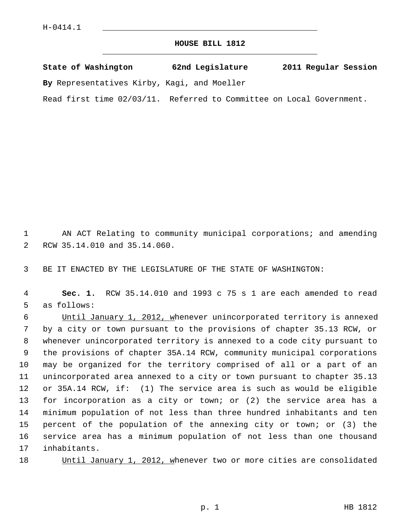## **HOUSE BILL 1812** \_\_\_\_\_\_\_\_\_\_\_\_\_\_\_\_\_\_\_\_\_\_\_\_\_\_\_\_\_\_\_\_\_\_\_\_\_\_\_\_\_\_\_\_\_

|  | State of Washington | 62nd Legislature | 2011 Regular Session |  |
|--|---------------------|------------------|----------------------|--|
|  |                     |                  |                      |  |

**By** Representatives Kirby, Kagi, and Moeller

Read first time 02/03/11. Referred to Committee on Local Government.

 1 AN ACT Relating to community municipal corporations; and amending 2 RCW 35.14.010 and 35.14.060.

3 BE IT ENACTED BY THE LEGISLATURE OF THE STATE OF WASHINGTON:

 4 **Sec. 1.** RCW 35.14.010 and 1993 c 75 s 1 are each amended to read 5 as follows:

 6 Until January 1, 2012, whenever unincorporated territory is annexed 7 by a city or town pursuant to the provisions of chapter 35.13 RCW, or 8 whenever unincorporated territory is annexed to a code city pursuant to 9 the provisions of chapter 35A.14 RCW, community municipal corporations 10 may be organized for the territory comprised of all or a part of an 11 unincorporated area annexed to a city or town pursuant to chapter 35.13 12 or 35A.14 RCW, if: (1) The service area is such as would be eligible 13 for incorporation as a city or town; or (2) the service area has a 14 minimum population of not less than three hundred inhabitants and ten 15 percent of the population of the annexing city or town; or (3) the 16 service area has a minimum population of not less than one thousand 17 inhabitants.

18 Until January 1, 2012, whenever two or more cities are consolidated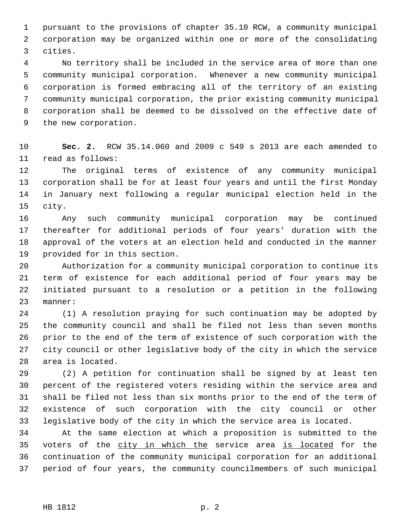1 pursuant to the provisions of chapter 35.10 RCW, a community municipal 2 corporation may be organized within one or more of the consolidating 3 cities.

 4 No territory shall be included in the service area of more than one 5 community municipal corporation. Whenever a new community municipal 6 corporation is formed embracing all of the territory of an existing 7 community municipal corporation, the prior existing community municipal 8 corporation shall be deemed to be dissolved on the effective date of 9 the new corporation.

10 **Sec. 2.** RCW 35.14.060 and 2009 c 549 s 2013 are each amended to 11 read as follows:

12 The original terms of existence of any community municipal 13 corporation shall be for at least four years and until the first Monday 14 in January next following a regular municipal election held in the 15 city.

16 Any such community municipal corporation may be continued 17 thereafter for additional periods of four years' duration with the 18 approval of the voters at an election held and conducted in the manner 19 provided for in this section.

20 Authorization for a community municipal corporation to continue its 21 term of existence for each additional period of four years may be 22 initiated pursuant to a resolution or a petition in the following 23 manner:

24 (1) A resolution praying for such continuation may be adopted by 25 the community council and shall be filed not less than seven months 26 prior to the end of the term of existence of such corporation with the 27 city council or other legislative body of the city in which the service 28 area is located.

29 (2) A petition for continuation shall be signed by at least ten 30 percent of the registered voters residing within the service area and 31 shall be filed not less than six months prior to the end of the term of 32 existence of such corporation with the city council or other 33 legislative body of the city in which the service area is located.

34 At the same election at which a proposition is submitted to the 35 voters of the city in which the service area is located for the 36 continuation of the community municipal corporation for an additional 37 period of four years, the community councilmembers of such municipal